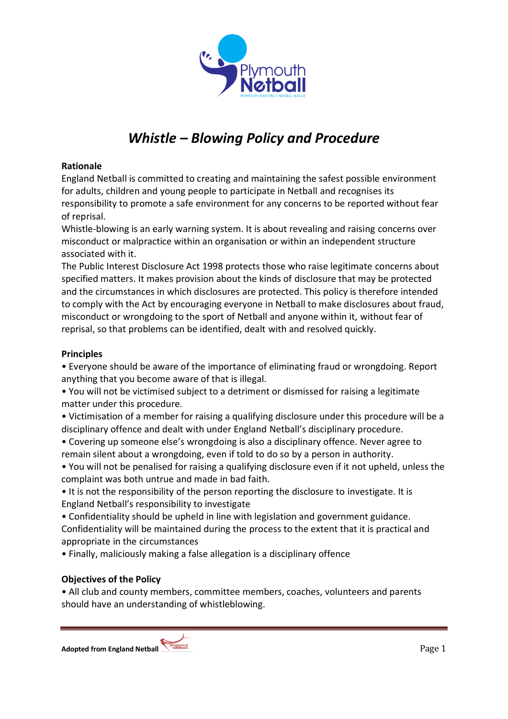

# *Whistle – Blowing Policy and Procedure*

#### **Rationale**

England Netball is committed to creating and maintaining the safest possible environment for adults, children and young people to participate in Netball and recognises its responsibility to promote a safe environment for any concerns to be reported without fear of reprisal.

Whistle-blowing is an early warning system. It is about revealing and raising concerns over misconduct or malpractice within an organisation or within an independent structure associated with it.

The Public Interest Disclosure Act 1998 protects those who raise legitimate concerns about specified matters. It makes provision about the kinds of disclosure that may be protected and the circumstances in which disclosures are protected. This policy is therefore intended to comply with the Act by encouraging everyone in Netball to make disclosures about fraud, misconduct or wrongdoing to the sport of Netball and anyone within it, without fear of reprisal, so that problems can be identified, dealt with and resolved quickly.

#### **Principles**

• Everyone should be aware of the importance of eliminating fraud or wrongdoing. Report anything that you become aware of that is illegal.

• You will not be victimised subject to a detriment or dismissed for raising a legitimate matter under this procedure.

• Victimisation of a member for raising a qualifying disclosure under this procedure will be a disciplinary offence and dealt with under England Netball's disciplinary procedure.

• Covering up someone else's wrongdoing is also a disciplinary offence. Never agree to remain silent about a wrongdoing, even if told to do so by a person in authority.

• You will not be penalised for raising a qualifying disclosure even if it not upheld, unless the complaint was both untrue and made in bad faith.

• It is not the responsibility of the person reporting the disclosure to investigate. It is England Netball's responsibility to investigate

• Confidentiality should be upheld in line with legislation and government guidance. Confidentiality will be maintained during the process to the extent that it is practical and appropriate in the circumstances

• Finally, maliciously making a false allegation is a disciplinary offence

## **Objectives of the Policy**

• All club and county members, committee members, coaches, volunteers and parents should have an understanding of whistleblowing.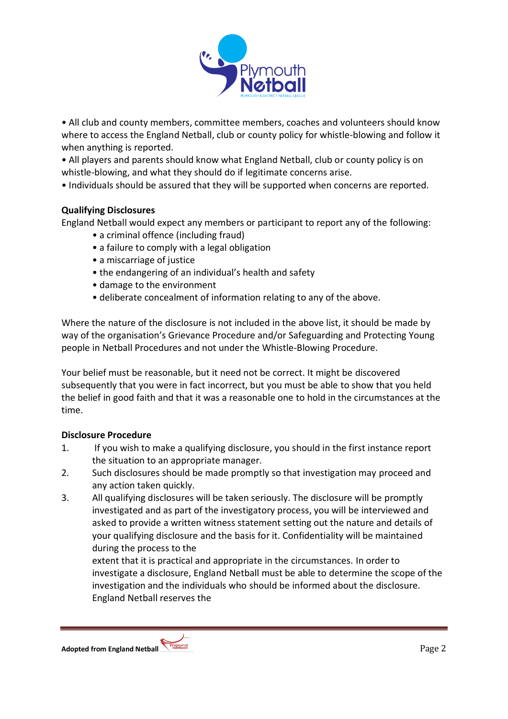

• All club and county members, committee members, coaches and volunteers should know where to access the England Netball, club or county policy for whistle-blowing and follow it when anything is reported.

• All players and parents should know what England Netball, club or county policy is on whistle-blowing, and what they should do if legitimate concerns arise.

• Individuals should be assured that they will be supported when concerns are reported.

## **Qualifying Disclosures**

England Netball would expect any members or participant to report any of the following:

- a criminal offence (including fraud)
- a failure to comply with a legal obligation
- a miscarriage of justice
- the endangering of an individual's health and safety
- damage to the environment
- deliberate concealment of information relating to any of the above.

Where the nature of the disclosure is not included in the above list, it should be made by way of the organisation's Grievance Procedure and/or Safeguarding and Protecting Young people in Netball Procedures and not under the Whistle-Blowing Procedure.

Your belief must be reasonable, but it need not be correct. It might be discovered subsequently that you were in fact incorrect, but you must be able to show that you held the belief in good faith and that it was a reasonable one to hold in the circumstances at the time.

## **Disclosure Procedure**

- 1. If you wish to make a qualifying disclosure, you should in the first instance report the situation to an appropriate manager.
- 2. Such disclosures should be made promptly so that investigation may proceed and any action taken quickly.
- 3. All qualifying disclosures will be taken seriously. The disclosure will be promptly investigated and as part of the investigatory process, you will be interviewed and asked to provide a written witness statement setting out the nature and details of your qualifying disclosure and the basis for it. Confidentiality will be maintained during the process to the

extent that it is practical and appropriate in the circumstances. In order to investigate a disclosure, England Netball must be able to determine the scope of the investigation and the individuals who should be informed about the disclosure. England Netball reserves the